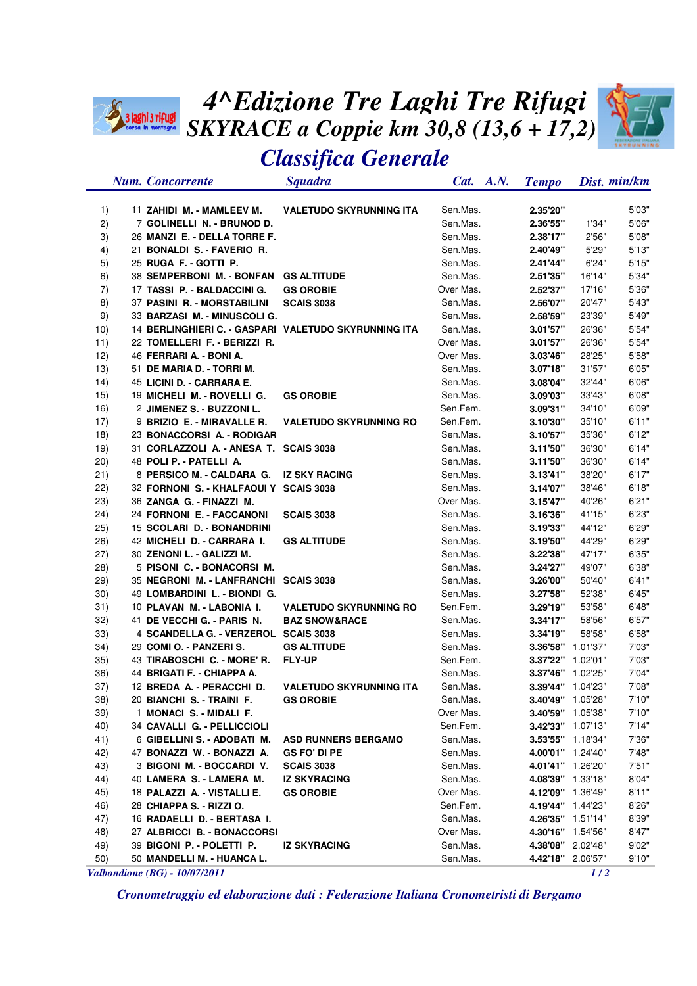

*4^Edizione Tre Laghi Tre Rifugi SKYRACE a Coppie km 30,8 (13,6 + 17,2)*



*Classifica Generale*

|                                      |  | <b>Num.</b> Concorrente                | <b>Squadra</b>                                       | Cat. A.N. | <b>Tempo</b>             |        | Dist. min/km |  |  |
|--------------------------------------|--|----------------------------------------|------------------------------------------------------|-----------|--------------------------|--------|--------------|--|--|
|                                      |  |                                        |                                                      |           |                          |        |              |  |  |
| 1)                                   |  | 11 ZAHIDI M. - MAMLEEV M.              | <b>VALETUDO SKYRUNNING ITA</b>                       | Sen.Mas.  | 2.35'20"                 |        | 5'03"        |  |  |
| 2)                                   |  | 7 GOLINELLI N. - BRUNOD D.             |                                                      | Sen.Mas.  | 2.36'55"                 | 1'34"  | 5'06"        |  |  |
| 3)                                   |  | 26 MANZI E. - DELLA TORRE F.           |                                                      | Sen.Mas.  | 2.38'17"                 | 2'56"  | 5'08"        |  |  |
| 4)                                   |  | 21 BONALDI S. - FAVERIO R.             |                                                      | Sen.Mas.  | 2.40'49"                 | 5'29"  | 5'13"        |  |  |
| 5)                                   |  | 25 RUGA F. - GOTTI P.                  |                                                      | Sen.Mas.  | 2.41'44"                 | 6'24"  | 5'15"        |  |  |
| 6)                                   |  | 38 SEMPERBONI M. - BONFAN              | <b>GS ALTITUDE</b>                                   | Sen.Mas.  | 2.51'35"                 | 16'14" | 5'34"        |  |  |
| 7)                                   |  | 17 TASSI P. - BALDACCINI G.            | <b>GS OROBIE</b>                                     | Over Mas. | 2.52'37"                 | 17'16" | 5'36"        |  |  |
| 8)                                   |  | 37 PASINI R. - MORSTABILINI            | <b>SCAIS 3038</b>                                    | Sen.Mas.  | 2.56'07"                 | 20'47" | 5'43"        |  |  |
| 9)                                   |  | 33 BARZASI M. - MINUSCOLI G.           |                                                      | Sen.Mas.  | 2.58'59"                 | 23'39" | 5'49"        |  |  |
| 10)                                  |  |                                        | 14 BERLINGHIERI C. - GASPARI VALETUDO SKYRUNNING ITA | Sen.Mas.  | 3.01'57"                 | 26'36" | 5'54"        |  |  |
| 11)                                  |  | 22 TOMELLERI F. - BERIZZI R.           |                                                      | Over Mas. | 3.01'57"                 | 26'36" | 5'54"        |  |  |
| 12)                                  |  | 46 FERRARI A. - BONI A.                |                                                      | Over Mas. | 3.03'46"                 | 28'25" | 5'58"        |  |  |
| 13)                                  |  | 51 DE MARIA D. - TORRI M.              |                                                      | Sen.Mas.  | 3.07'18"                 | 31'57" | 6'05"        |  |  |
| 14)                                  |  | 45 LICINI D. - CARRARA E.              |                                                      | Sen.Mas.  | 3.08'04"                 | 32'44" | 6'06"        |  |  |
| 15)                                  |  | 19 MICHELI M. - ROVELLI G.             | <b>GS OROBIE</b>                                     | Sen.Mas.  | 3.09'03"                 | 33'43" | 6'08"        |  |  |
| 16)                                  |  | 2 JIMENEZ S. - BUZZONI L.              |                                                      | Sen.Fem.  | 3.09'31"                 | 34'10" | 6'09"        |  |  |
| 17)                                  |  | 9 BRIZIO E. - MIRAVALLE R.             | <b>VALETUDO SKYRUNNING RO</b>                        | Sen.Fem.  | 3.10'30"                 | 35'10" | 6'11"        |  |  |
| 18)                                  |  | 23 BONACCORSI A. - RODIGAR             |                                                      | Sen.Mas.  | 3.10'57"                 | 35'36" | 6'12"        |  |  |
| 19)                                  |  | 31 CORLAZZOLI A. - ANESA T. SCAIS 3038 |                                                      | Sen.Mas.  | 3.11'50"                 | 36'30" | 6'14"        |  |  |
| 20)                                  |  | 48 POLI P. - PATELLI A.                |                                                      | Sen.Mas.  | 3.11'50"                 | 36'30" | 6'14"        |  |  |
| 21)                                  |  | 8 PERSICO M. - CALDARA G.              | <b>IZ SKY RACING</b>                                 | Sen.Mas.  | 3.13'41"                 | 38'20" | 6'17"        |  |  |
| 22)                                  |  | 32 FORNONI S. - KHALFAOUI Y SCAIS 3038 |                                                      | Sen.Mas.  | 3.14'07"                 | 38'46" | 6'18"        |  |  |
| 23)                                  |  | 36 ZANGA G. - FINAZZI M.               |                                                      | Over Mas. | 3.15'47"                 | 40'26" | 6'21"        |  |  |
| (24)                                 |  | 24 FORNONI E. - FACCANONI              | <b>SCAIS 3038</b>                                    | Sen.Mas.  | 3.16'36"                 | 41'15" | 6'23"        |  |  |
| 25)                                  |  | 15 SCOLARI D. - BONANDRINI             |                                                      | Sen.Mas.  | 3.19'33"                 | 44'12" | 6'29"        |  |  |
| 26)                                  |  | 42 MICHELI D. - CARRARA I.             | <b>GS ALTITUDE</b>                                   | Sen.Mas.  | 3.19'50"                 | 44'29" | 6'29"        |  |  |
| 27)                                  |  | 30 ZENONI L. - GALIZZI M.              |                                                      | Sen.Mas.  | 3.22'38"                 | 47'17" | 6'35"        |  |  |
| (28)                                 |  | 5 PISONI C. - BONACORSI M.             |                                                      | Sen.Mas.  | 3.24'27"                 | 49'07" | 6'38"        |  |  |
| 29)                                  |  | 35 NEGRONI M. - LANFRANCHI SCAIS 3038  |                                                      | Sen.Mas.  | 3.26'00"                 | 50'40" | 6'41"        |  |  |
| 30)                                  |  | 49 LOMBARDINI L. - BIONDI G.           |                                                      | Sen.Mas.  | 3.27'58"                 | 52'38" | 6'45"        |  |  |
| 31)                                  |  | 10 PLAVAN M. - LABONIA I.              | <b>VALETUDO SKYRUNNING RO</b>                        | Sen.Fem.  | 3.29'19"                 | 53'58" | 6'48"        |  |  |
| 32)                                  |  | 41 DE VECCHI G. - PARIS N.             | <b>BAZ SNOW&amp;RACE</b>                             | Sen.Mas.  | 3.34'17"                 | 58'56" | 6'57"        |  |  |
| 33)                                  |  | 4 SCANDELLA G. - VERZEROL SCAIS 3038   |                                                      | Sen.Mas.  | 3.34'19"                 | 58'58" | 6'58"        |  |  |
| 34)                                  |  | 29 COMI O. - PANZERI S.                | <b>GS ALTITUDE</b>                                   | Sen.Mas.  | 3.36'58" 1.01'37"        |        | 7'03"        |  |  |
| 35)                                  |  | 43 TIRABOSCHI C. - MORE' R.            | <b>FLY-UP</b>                                        | Sen.Fem.  | 3.37'22" 1.02'01"        |        | 7'03"        |  |  |
| 36)                                  |  | 44 BRIGATI F. - CHIAPPA A.             |                                                      | Sen.Mas.  | 3.37'46" 1.02'25"        |        | 7'04"        |  |  |
| 37)                                  |  | 12 BREDA A. - PERACCHI D.              | <b>VALETUDO SKYRUNNING ITA</b>                       | Sen.Mas.  | 3.39'44" 1.04'23"        |        | 7'08"        |  |  |
| 38)                                  |  | 20 BIANCHI S. - TRAINI F.              | <b>GS OROBIE</b>                                     | Sen.Mas.  | 3.40'49" 1.05'28"        |        | 7'10"        |  |  |
| 39)                                  |  | 1 MONACI S. - MIDALI F.                |                                                      | Over Mas. | <b>3.40'59"</b> 1.05'38" |        | 7'10"        |  |  |
| 40)                                  |  | 34 CAVALLI G. - PELLICCIOLI            |                                                      | Sen.Fem.  | 3.42'33" 1.07'13"        |        | 7'14"        |  |  |
| 41)                                  |  | 6 GIBELLINI S. - ADOBATI M.            | <b>ASD RUNNERS BERGAMO</b>                           | Sen.Mas.  | 3.53'55" 1.18'34"        |        | 7'36"        |  |  |
| 42)                                  |  | 47 BONAZZI W. - BONAZZI A.             | <b>GS FO' DI PE</b>                                  | Sen.Mas.  | 4.00'01" 1.24'40"        |        | 7'48"        |  |  |
| 43)                                  |  | 3 BIGONI M. - BOCCARDI V.              | <b>SCAIS 3038</b>                                    | Sen.Mas.  | 4.01'41" 1.26'20"        |        | 7'51"        |  |  |
| 44)                                  |  | 40 LAMERA S. - LAMERA M.               | <b>IZ SKYRACING</b>                                  | Sen.Mas.  | 4.08'39" 1.33'18"        |        | 8'04"        |  |  |
| 45)                                  |  | 18 PALAZZI A. - VISTALLI E.            | <b>GS OROBIE</b>                                     | Over Mas. | 4.12'09" 1.36'49"        |        | 8'11"        |  |  |
| 46)                                  |  | 28 CHIAPPA S. - RIZZI O.               |                                                      | Sen.Fem.  | 4.19'44" 1.44'23"        |        | 8'26"        |  |  |
| 47)                                  |  | 16 RADAELLI D. - BERTASA I.            |                                                      | Sen.Mas.  | 4.26'35" 1.51'14"        |        | 8'39"        |  |  |
| 48)                                  |  | 27 ALBRICCI B. - BONACCORSI            |                                                      | Over Mas. | 4.30'16" 1.54'56"        |        | 8'47"        |  |  |
| 49)                                  |  | 39 BIGONI P. - POLETTI P.              | <b>IZ SKYRACING</b>                                  | Sen.Mas.  | 4.38'08" 2.02'48"        |        | 9'02"        |  |  |
| 50)                                  |  | 50 MANDELLI M. - HUANCA L.             |                                                      | Sen.Mas.  | 4.42'18" 2.06'57"        |        | 9'10"        |  |  |
|                                      |  |                                        |                                                      |           |                          |        |              |  |  |
| Valbondione (BG) - 10/07/2011<br>1/2 |  |                                        |                                                      |           |                          |        |              |  |  |

*Cronometraggio ed elaborazione dati : Federazione Italiana Cronometristi di Bergamo*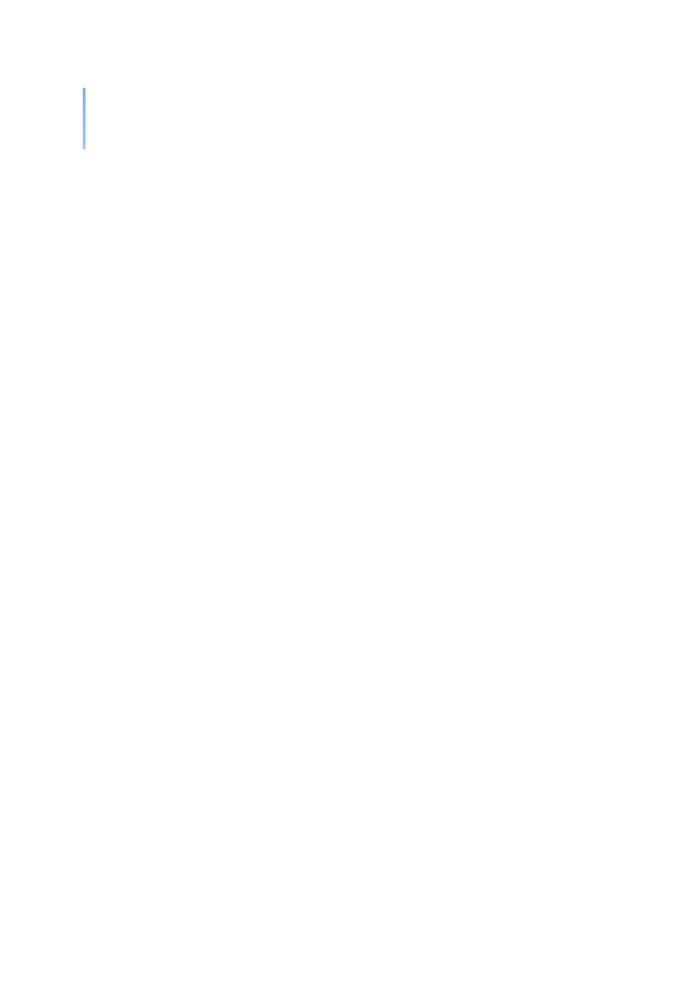I